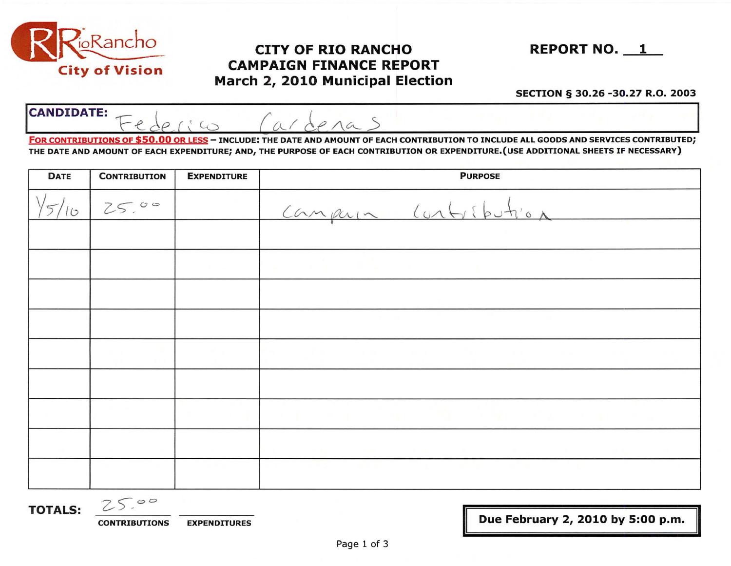

## CITY OF RIO RANCHO REPORT NO. 1 CAMPAIGN FINANCE REPORT March 2, 2010 Municipal Election

## SECTION § 30.26 -30.27 R.O. 2003

| <b>City of Vision</b> | <b>ULLY OF KID KANUTU</b><br><b>CAMPAIGN FINANCE REPORT</b><br>March 2, 2010 Municipal Election                                                | KEPURINU. 1                      |  |
|-----------------------|------------------------------------------------------------------------------------------------------------------------------------------------|----------------------------------|--|
|                       |                                                                                                                                                | SECTION § 30.26 -30.27 R.O. 2003 |  |
| <b>CANDIDATE:</b>     |                                                                                                                                                |                                  |  |
|                       | <b>FOR CONTRESTITIONS OF \$50.00 ARTICLES - TNCLUDE: THE DATE AND AMOUNT OF EACH CONTRESTION TO INCLUDE ALL COODS AND SERVICES CONTRIGUED.</b> |                                  |  |

FOR CONTRIBUTIONS OF \$50.00 OR LESS - INCLUDE: THE DATE AND AMOUNT OF EACH CONTRIBUTION TO INCLUDE ALL GOODS AND SERVICES CONTRIBUTED; THE DATE AND AMOUNT OF EACH EXPENDITURE; AND, THE PURPOSE OF EACH CONTRIBUTION OR EXPENDITURE.(USE ADDITIONAL SHEETS IF NECESSARY)

| <b>DATE</b> | <b>CONTRIBUTION</b> | <b>EXPENDITURE</b> | <b>PURPOSE</b>       |  |
|-------------|---------------------|--------------------|----------------------|--|
| $\sigma$    | 25.00               |                    | Campuin Contribution |  |
|             |                     |                    |                      |  |
|             |                     |                    |                      |  |
|             |                     |                    |                      |  |
|             |                     |                    |                      |  |
|             |                     |                    |                      |  |
|             |                     |                    |                      |  |
|             |                     |                    |                      |  |
|             |                     |                    |                      |  |
|             |                     |                    |                      |  |

**TOTALS:**  $25.00$ 

CONTRIBUTIONS EXPENDITURES

Due February 2, 2010 by 5:00 p.m.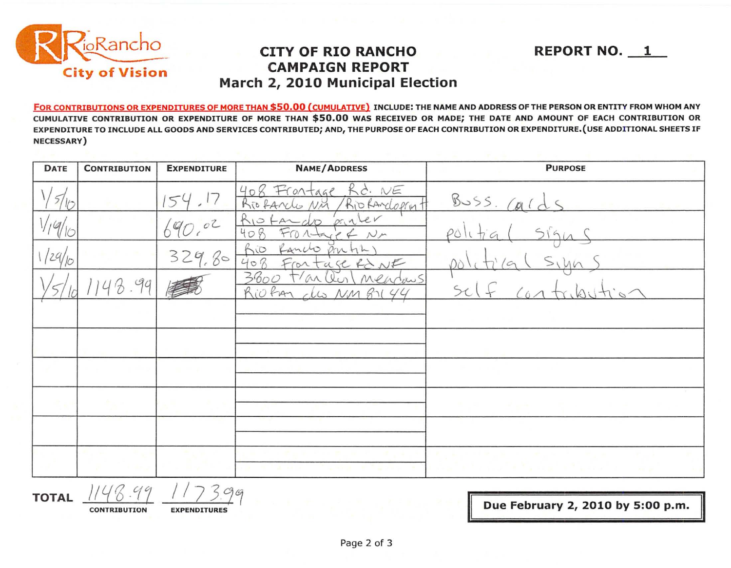

## **CAMPAIGN REPORT CITY OF RIO RANCHO March 2, 2010 Municipal Election**

**REPORT NO. 1** 

FOR CONTRIBUTIONS OR EXPENDITURES OF MORE THAN \$50.00 (CUMULATIVE) INCLUDE: THE NAME AND ADDRESS OF THE PERSON OR ENTITY FROM WHOM ANY CUMULATIVE CONTRIBUTION OR EXPENDITURE OF MORE THAN \$50.00 WAS RECEIVED OR MADE; THE DATE AND AMOUNT OF EACH CONTRIBUTION OR EXPENDITURE TO INCLUDE ALL GOODS AND SERVICES CONTRIBUTED; AND, THE PURPOSE OF EACH CONTRIBUTION OR EXPENDITURE.(USE ADDITIONAL SHEETS IF NECESSARY)

| <b>DATE</b>   | <b>CONTRIBUTION</b> | <b>EXPENDITURE</b> | <b>NAME/ADDRESS</b>                                             | <b>PURPOSE</b>     |
|---------------|---------------------|--------------------|-----------------------------------------------------------------|--------------------|
|               |                     |                    | 408 Frontage<br>Kd. NE<br>Rio fancle<br>Rio Randoprint<br>NM    | Buss. Cald         |
| $\frac{q}{q}$ |                     |                    | KIO tamato parler<br>FTOA<br>$N_{\mathcal{P}}$<br>$\mathcal{D}$ | PO                 |
| 129/10        |                     | 329,80             | Rancho<br>ponti<br>hio<br>408<br>Frantage RONE                  |                    |
|               | 48.99               |                    | 3600<br>$t/ax$ (in)<br>Mendans<br>Riofan des NM 87144           |                    |
|               |                     |                    |                                                                 |                    |
|               |                     |                    |                                                                 |                    |
|               |                     |                    |                                                                 |                    |
|               |                     |                    |                                                                 |                    |
|               |                     |                    |                                                                 |                    |
|               |                     |                    |                                                                 | Talke in a control |

TOTAL 1148.99 1173.99

**CONTRIBUTION EXPENDITURES** 

II